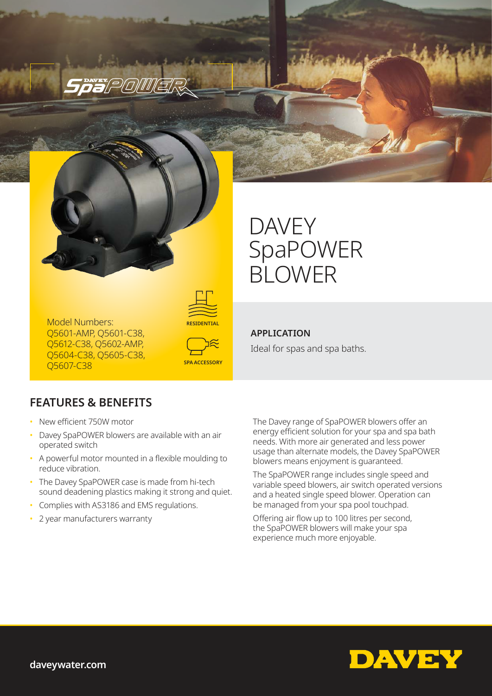

*Spaver politic* 

# DAVEY SpaPOWER BLOWER



Model Numbers: Q5601-AMP, Q5601-C38, Q5612-C38, Q5602-AMP, Q5604-C38, Q5605-C38, Q5607-C38



## **APPLICATION**

Ideal for spas and spa baths.

# **FEATURES & BENEFITS**

- New efficient 750W motor
- Davey SpaPOWER blowers are available with an air operated switch
- A powerful motor mounted in a flexible moulding to reduce vibration.
- The Davey SpaPOWER case is made from hi-tech sound deadening plastics making it strong and quiet.
- Complies with AS3186 and EMS regulations.
- 2 year manufacturers warranty

The Davey range of SpaPOWER blowers offer an energy efficient solution for your spa and spa bath needs. With more air generated and less power usage than alternate models, the Davey SpaPOWER blowers means enjoyment is guaranteed.

The SpaPOWER range includes single speed and variable speed blowers, air switch operated versions and a heated single speed blower. Operation can be managed from your spa pool touchpad.

Offering air flow up to 100 litres per second, the SpaPOWER blowers will make your spa experience much more enjoyable.